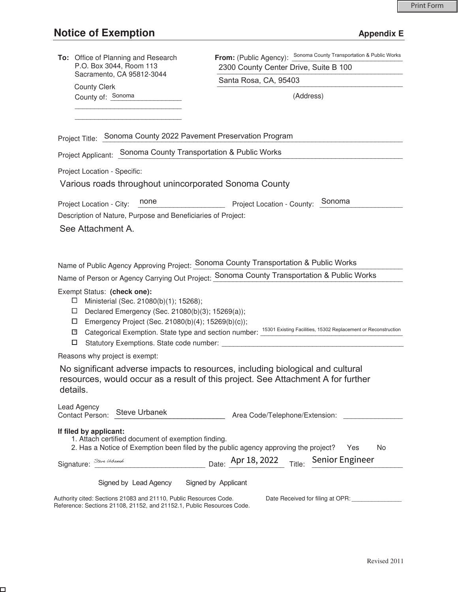$\Box$ 

| To: Office of Planning and Research<br>P.O. Box 3044, Room 113                                                                                                                                                           | <b>From:</b> (Public Agency): Sonoma County Transportation & Public Works<br>2300 County Center Drive, Suite B 100                                                 |  |  |  |
|--------------------------------------------------------------------------------------------------------------------------------------------------------------------------------------------------------------------------|--------------------------------------------------------------------------------------------------------------------------------------------------------------------|--|--|--|
| Sacramento, CA 95812-3044                                                                                                                                                                                                | Santa Rosa, CA, 95403                                                                                                                                              |  |  |  |
| <b>County Clerk</b><br>County of: Sonoma                                                                                                                                                                                 | (Address)                                                                                                                                                          |  |  |  |
|                                                                                                                                                                                                                          |                                                                                                                                                                    |  |  |  |
| Project Title: Sonoma County 2022 Pavement Preservation Program                                                                                                                                                          |                                                                                                                                                                    |  |  |  |
| Project Applicant: Sonoma County Transportation & Public Works                                                                                                                                                           |                                                                                                                                                                    |  |  |  |
| Project Location - Specific:                                                                                                                                                                                             |                                                                                                                                                                    |  |  |  |
| Various roads throughout unincorporated Sonoma County                                                                                                                                                                    |                                                                                                                                                                    |  |  |  |
| none<br>Project Location - City:                                                                                                                                                                                         | Project Location - County: Sonoma                                                                                                                                  |  |  |  |
| Description of Nature, Purpose and Beneficiaries of Project:                                                                                                                                                             |                                                                                                                                                                    |  |  |  |
| See Attachment A.                                                                                                                                                                                                        |                                                                                                                                                                    |  |  |  |
|                                                                                                                                                                                                                          |                                                                                                                                                                    |  |  |  |
|                                                                                                                                                                                                                          | Name of Public Agency Approving Project: Sonoma County Transportation & Public Works                                                                               |  |  |  |
|                                                                                                                                                                                                                          | Name of Person or Agency Carrying Out Project: Sonoma County Transportation & Public Works                                                                         |  |  |  |
| Exempt Status: (check one):<br>Ministerial (Sec. 21080(b)(1); 15268);<br>ப<br>$\Box$<br>Declared Emergency (Sec. 21080(b)(3); 15269(a));<br>Emergency Project (Sec. 21080(b)(4); 15269(b)(c));<br>□<br>$\mathbf{X}$<br>□ | Categorical Exemption. State type and section number: 15301 Existing Facilities, 15302 Replacement or Reconstruction                                               |  |  |  |
| Reasons why project is exempt:                                                                                                                                                                                           |                                                                                                                                                                    |  |  |  |
| details.                                                                                                                                                                                                                 | No significant adverse impacts to resources, including biological and cultural<br>resources, would occur as a result of this project. See Attachment A for further |  |  |  |
| <b>Lead Agency</b><br>Steve Urbanek<br>Contact Person:                                                                                                                                                                   | Area Code/Telephone/Extension:                                                                                                                                     |  |  |  |
| If filed by applicant:<br>1. Attach certified document of exemption finding.                                                                                                                                             | 2. Has a Notice of Exemption been filed by the public agency approving the project?<br>Yes<br>No                                                                   |  |  |  |
| Signature:                                                                                                                                                                                                               | Steve Urbands Date: <u>Apr 18, 2022</u> Title: Senior Engineer                                                                                                     |  |  |  |
| Signed by Lead Agency Signed by Applicant                                                                                                                                                                                |                                                                                                                                                                    |  |  |  |
| Authority cited: Sections 21083 and 21110, Public Resources Code.<br>Reference: Sections 21108, 21152, and 21152.1, Public Resources Code.                                                                               | Date Received for filing at OPR: _______________                                                                                                                   |  |  |  |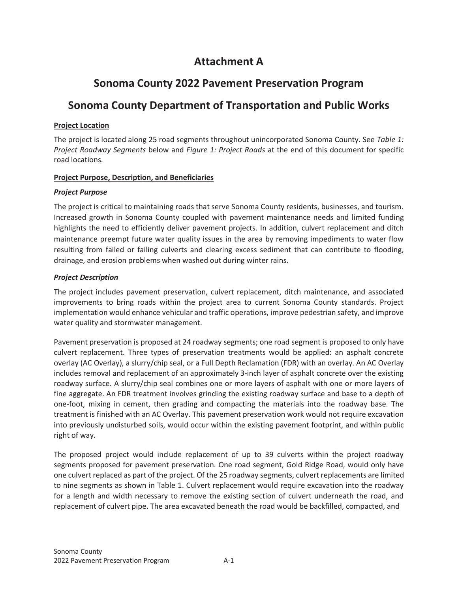# **Attachment A**

# **Sonoma County 2022 Pavement Preservation Program**

# **Sonoma County Department of Transportation and Public Works**

### **Project Location**

The project is located along 25 road segments throughout unincorporated Sonoma County. See *Table 1: Project Roadway Segments* below and *Figure 1: Project Roads* at the end of this document for specific road locations*.* 

#### **Project Purpose, Description, and Beneficiaries**

#### *Project Purpose*

The project is critical to maintaining roads that serve Sonoma County residents, businesses, and tourism. Increased growth in Sonoma County coupled with pavement maintenance needs and limited funding highlights the need to efficiently deliver pavement projects. In addition, culvert replacement and ditch maintenance preempt future water quality issues in the area by removing impediments to water flow resulting from failed or failing culverts and clearing excess sediment that can contribute to flooding, drainage, and erosion problems when washed out during winter rains.

#### *Project Description*

The project includes pavement preservation, culvert replacement, ditch maintenance, and associated improvements to bring roads within the project area to current Sonoma County standards. Project implementation would enhance vehicular and traffic operations, improve pedestrian safety, and improve water quality and stormwater management.

Pavement preservation is proposed at 24 roadway segments; one road segment is proposed to only have culvert replacement. Three types of preservation treatments would be applied: an asphalt concrete overlay (AC Overlay), a slurry/chip seal, or a Full Depth Reclamation (FDR) with an overlay. An AC Overlay includes removal and replacement of an approximately 3-inch layer of asphalt concrete over the existing roadway surface. A slurry/chip seal combines one or more layers of asphalt with one or more layers of fine aggregate. An FDR treatment involves grinding the existing roadway surface and base to a depth of one-foot, mixing in cement, then grading and compacting the materials into the roadway base. The treatment is finished with an AC Overlay. This pavement preservation work would not require excavation into previously undisturbed soils, would occur within the existing pavement footprint, and within public right of way.

The proposed project would include replacement of up to 39 culverts within the project roadway segments proposed for pavement preservation. One road segment, Gold Ridge Road, would only have one culvert replaced as part of the project. Of the 25 roadway segments, culvert replacements are limited to nine segments as shown in Table 1. Culvert replacement would require excavation into the roadway for a length and width necessary to remove the existing section of culvert underneath the road, and replacement of culvert pipe. The area excavated beneath the road would be backfilled, compacted, and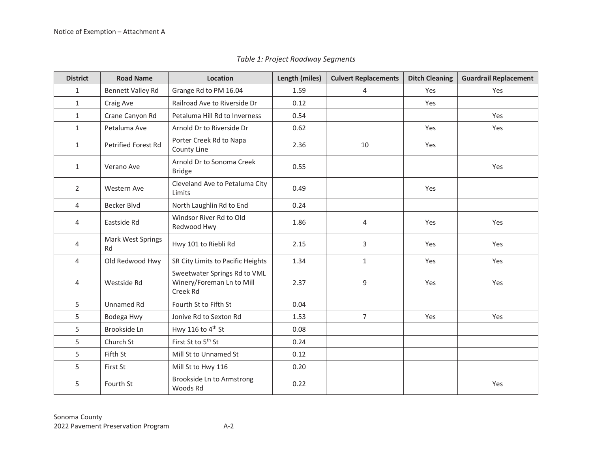|  | Table 1: Project Roadway Segments |
|--|-----------------------------------|
|  |                                   |

| <b>District</b> | <b>Road Name</b>        | Location                                                              | Length (miles) | <b>Culvert Replacements</b> | <b>Ditch Cleaning</b> | <b>Guardrail Replacement</b> |
|-----------------|-------------------------|-----------------------------------------------------------------------|----------------|-----------------------------|-----------------------|------------------------------|
| 1               | Bennett Valley Rd       | Grange Rd to PM 16.04                                                 | 1.59           | 4                           | Yes                   | Yes                          |
| $\mathbf{1}$    | Craig Ave               | Railroad Ave to Riverside Dr                                          | 0.12           |                             | Yes                   |                              |
| $\mathbf{1}$    | Crane Canyon Rd         | Petaluma Hill Rd to Inverness                                         | 0.54           |                             |                       | Yes                          |
| $\mathbf{1}$    | Petaluma Ave            | Arnold Dr to Riverside Dr                                             | 0.62           |                             | Yes                   | Yes                          |
| $\mathbf{1}$    | Petrified Forest Rd     | Porter Creek Rd to Napa<br>County Line                                | 2.36           | 10                          | Yes                   |                              |
| $\mathbf{1}$    | Verano Ave              | Arnold Dr to Sonoma Creek<br><b>Bridge</b>                            | 0.55           |                             |                       | Yes                          |
| $\overline{2}$  | <b>Western Ave</b>      | Cleveland Ave to Petaluma City<br>Limits                              | 0.49           |                             | Yes                   |                              |
| $\overline{4}$  | Becker Blvd             | North Laughlin Rd to End                                              | 0.24           |                             |                       |                              |
| 4               | Eastside Rd             | Windsor River Rd to Old<br>Redwood Hwy                                | 1.86           | 4                           | Yes                   | Yes                          |
| 4               | Mark West Springs<br>Rd | Hwy 101 to Riebli Rd                                                  | 2.15           | 3                           | Yes                   | Yes                          |
| $\overline{4}$  | Old Redwood Hwy         | SR City Limits to Pacific Heights                                     | 1.34           | $\mathbf{1}$                | Yes                   | Yes                          |
| 4               | Westside Rd             | Sweetwater Springs Rd to VML<br>Winery/Foreman Ln to Mill<br>Creek Rd | 2.37           | 9                           | Yes                   | Yes                          |
| 5               | <b>Unnamed Rd</b>       | Fourth St to Fifth St                                                 | 0.04           |                             |                       |                              |
| 5               | Bodega Hwy              | Jonive Rd to Sexton Rd                                                | 1.53           | $\overline{7}$              | Yes                   | Yes                          |
| 5               | Brookside Ln            | Hwy 116 to 4 <sup>th</sup> St                                         | 0.08           |                             |                       |                              |
| 5               | Church St               | First St to 5 <sup>th</sup> St                                        | 0.24           |                             |                       |                              |
| 5               | Fifth St                | Mill St to Unnamed St                                                 | 0.12           |                             |                       |                              |
| 5               | First St                | Mill St to Hwy 116                                                    | 0.20           |                             |                       |                              |
| 5               | Fourth St               | Brookside Ln to Armstrong<br>Woods Rd                                 | 0.22           |                             |                       | Yes                          |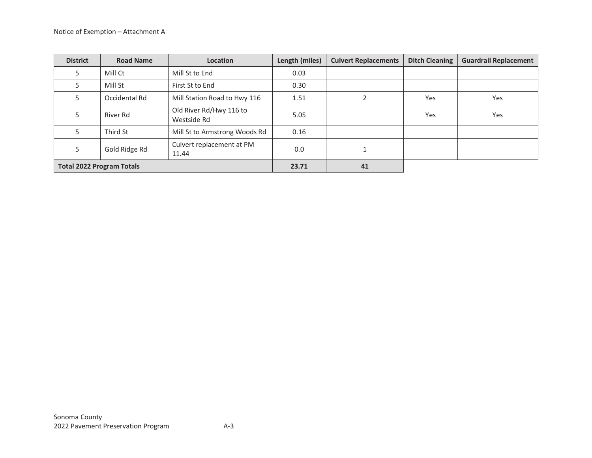| <b>District</b>                  | <b>Road Name</b> | <b>Location</b>                        | Length (miles) | <b>Culvert Replacements</b> | <b>Ditch Cleaning</b> | <b>Guardrail Replacement</b> |
|----------------------------------|------------------|----------------------------------------|----------------|-----------------------------|-----------------------|------------------------------|
| 5                                | Mill Ct          | Mill St to End                         | 0.03           |                             |                       |                              |
|                                  | Mill St          | First St to End                        | 0.30           |                             |                       |                              |
| 5                                | Occidental Rd    | Mill Station Road to Hwy 116           | 1.51           |                             | Yes                   | Yes                          |
| 5                                | River Rd         | Old River Rd/Hwy 116 to<br>Westside Rd | 5.05           |                             | Yes                   | Yes                          |
|                                  | Third St         | Mill St to Armstrong Woods Rd          | 0.16           |                             |                       |                              |
| 5                                | Gold Ridge Rd    | Culvert replacement at PM<br>11.44     | 0.0            |                             |                       |                              |
| <b>Total 2022 Program Totals</b> |                  | 23.71                                  | 41             |                             |                       |                              |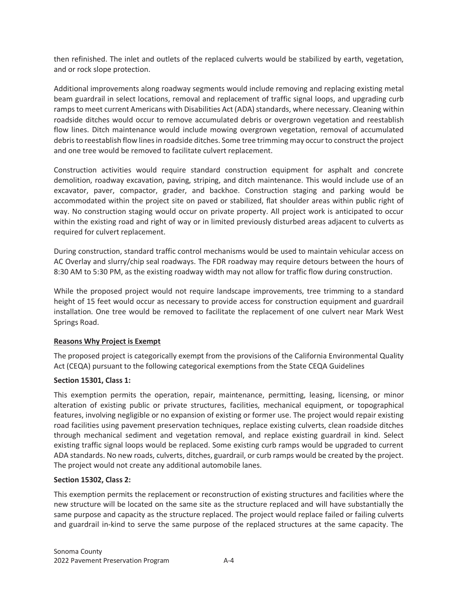then refinished. The inlet and outlets of the replaced culverts would be stabilized by earth, vegetation, and or rock slope protection.

Additional improvements along roadway segments would include removing and replacing existing metal beam guardrail in select locations, removal and replacement of traffic signal loops, and upgrading curb ramps to meet current Americans with Disabilities Act (ADA) standards, where necessary. Cleaning within roadside ditches would occur to remove accumulated debris or overgrown vegetation and reestablish flow lines. Ditch maintenance would include mowing overgrown vegetation, removal of accumulated debris to reestablish flow lines in roadside ditches. Some tree trimming may occur to construct the project and one tree would be removed to facilitate culvert replacement.

Construction activities would require standard construction equipment for asphalt and concrete demolition, roadway excavation, paving, striping, and ditch maintenance. This would include use of an excavator, paver, compactor, grader, and backhoe. Construction staging and parking would be accommodated within the project site on paved or stabilized, flat shoulder areas within public right of way. No construction staging would occur on private property. All project work is anticipated to occur within the existing road and right of way or in limited previously disturbed areas adjacent to culverts as required for culvert replacement.

During construction, standard traffic control mechanisms would be used to maintain vehicular access on AC Overlay and slurry/chip seal roadways. The FDR roadway may require detours between the hours of 8:30 AM to 5:30 PM, as the existing roadway width may not allow for traffic flow during construction.

While the proposed project would not require landscape improvements, tree trimming to a standard height of 15 feet would occur as necessary to provide access for construction equipment and guardrail installation. One tree would be removed to facilitate the replacement of one culvert near Mark West Springs Road.

### **Reasons Why Project is Exempt**

The proposed project is categorically exempt from the provisions of the California Environmental Quality Act (CEQA) pursuant to the following categorical exemptions from the State CEQA Guidelines

### **Section 15301, Class 1:**

This exemption permits the operation, repair, maintenance, permitting, leasing, licensing, or minor alteration of existing public or private structures, facilities, mechanical equipment, or topographical features, involving negligible or no expansion of existing or former use. The project would repair existing road facilities using pavement preservation techniques, replace existing culverts, clean roadside ditches through mechanical sediment and vegetation removal, and replace existing guardrail in kind. Select existing traffic signal loops would be replaced. Some existing curb ramps would be upgraded to current ADA standards. No new roads, culverts, ditches, guardrail, or curb ramps would be created by the project. The project would not create any additional automobile lanes.

#### **Section 15302, Class 2:**

This exemption permits the replacement or reconstruction of existing structures and facilities where the new structure will be located on the same site as the structure replaced and will have substantially the same purpose and capacity as the structure replaced. The project would replace failed or failing culverts and guardrail in-kind to serve the same purpose of the replaced structures at the same capacity. The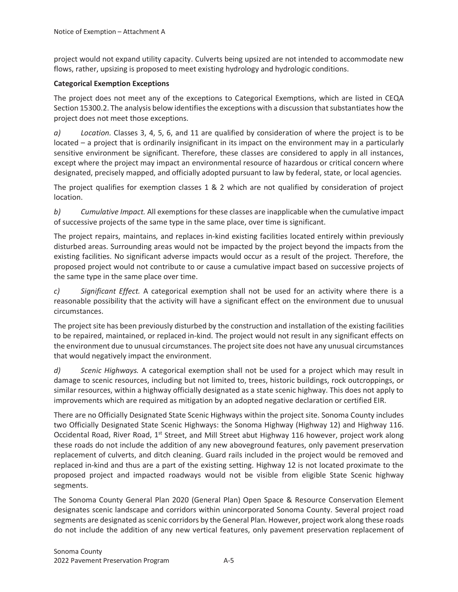project would not expand utility capacity. Culverts being upsized are not intended to accommodate new flows, rather, upsizing is proposed to meet existing hydrology and hydrologic conditions.

#### **Categorical Exemption Exceptions**

The project does not meet any of the exceptions to Categorical Exemptions, which are listed in CEQA Section 15300.2. The analysis below identifies the exceptions with a discussion that substantiates how the project does not meet those exceptions.

*a) Location.* Classes 3, 4, 5, 6, and 11 are qualified by consideration of where the project is to be located – a project that is ordinarily insignificant in its impact on the environment may in a particularly sensitive environment be significant. Therefore, these classes are considered to apply in all instances, except where the project may impact an environmental resource of hazardous or critical concern where designated, precisely mapped, and officially adopted pursuant to law by federal, state, or local agencies.

The project qualifies for exemption classes 1 & 2 which are not qualified by consideration of project location.

*b) Cumulative Impact.* All exemptions for these classes are inapplicable when the cumulative impact of successive projects of the same type in the same place, over time is significant.

The project repairs, maintains, and replaces in-kind existing facilities located entirely within previously disturbed areas. Surrounding areas would not be impacted by the project beyond the impacts from the existing facilities. No significant adverse impacts would occur as a result of the project. Therefore, the proposed project would not contribute to or cause a cumulative impact based on successive projects of the same type in the same place over time.

*c) Significant Effect.* A categorical exemption shall not be used for an activity where there is a reasonable possibility that the activity will have a significant effect on the environment due to unusual circumstances.

The project site has been previously disturbed by the construction and installation of the existing facilities to be repaired, maintained, or replaced in-kind. The project would not result in any significant effects on the environment due to unusual circumstances. The project site does not have any unusual circumstances that would negatively impact the environment.

*d) Scenic Highways.* A categorical exemption shall not be used for a project which may result in damage to scenic resources, including but not limited to, trees, historic buildings, rock outcroppings, or similar resources, within a highway officially designated as a state scenic highway. This does not apply to improvements which are required as mitigation by an adopted negative declaration or certified EIR.

There are no Officially Designated State Scenic Highways within the project site. Sonoma County includes two Officially Designated State Scenic Highways: the Sonoma Highway (Highway 12) and Highway 116. Occidental Road, River Road, 1<sup>st</sup> Street, and Mill Street abut Highway 116 however, project work along these roads do not include the addition of any new aboveground features, only pavement preservation replacement of culverts, and ditch cleaning. Guard rails included in the project would be removed and replaced in-kind and thus are a part of the existing setting. Highway 12 is not located proximate to the proposed project and impacted roadways would not be visible from eligible State Scenic highway segments.

The Sonoma County General Plan 2020 (General Plan) Open Space & Resource Conservation Element designates scenic landscape and corridors within unincorporated Sonoma County. Several project road segments are designated as scenic corridors by the General Plan. However, project work along these roads do not include the addition of any new vertical features, only pavement preservation replacement of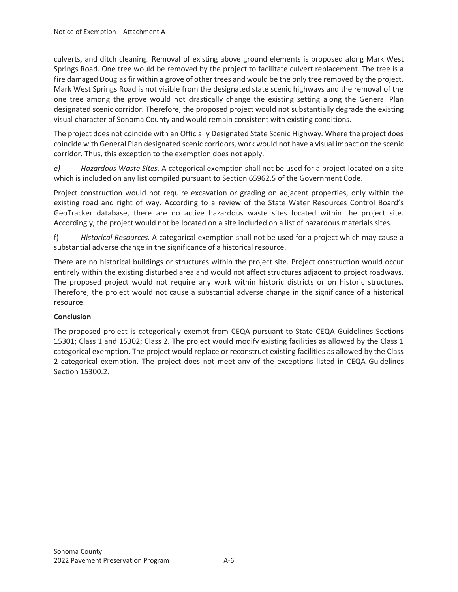culverts, and ditch cleaning. Removal of existing above ground elements is proposed along Mark West Springs Road. One tree would be removed by the project to facilitate culvert replacement. The tree is a fire damaged Douglas fir within a grove of other trees and would be the only tree removed by the project. Mark West Springs Road is not visible from the designated state scenic highways and the removal of the one tree among the grove would not drastically change the existing setting along the General Plan designated scenic corridor. Therefore, the proposed project would not substantially degrade the existing visual character of Sonoma County and would remain consistent with existing conditions.

The project does not coincide with an Officially Designated State Scenic Highway. Where the project does coincide with General Plan designated scenic corridors, work would not have a visual impact on the scenic corridor. Thus, this exception to the exemption does not apply.

*e) Hazardous Waste Sites.* A categorical exemption shall not be used for a project located on a site which is included on any list compiled pursuant to Section 65962.5 of the Government Code.

Project construction would not require excavation or grading on adjacent properties, only within the existing road and right of way. According to a review of the State Water Resources Control Board's GeoTracker database, there are no active hazardous waste sites located within the project site. Accordingly, the project would not be located on a site included on a list of hazardous materials sites.

f) *Historical Resources*. A categorical exemption shall not be used for a project which may cause a substantial adverse change in the significance of a historical resource.

There are no historical buildings or structures within the project site. Project construction would occur entirely within the existing disturbed area and would not affect structures adjacent to project roadways. The proposed project would not require any work within historic districts or on historic structures. Therefore, the project would not cause a substantial adverse change in the significance of a historical resource.

### **Conclusion**

The proposed project is categorically exempt from CEQA pursuant to State CEQA Guidelines Sections 15301; Class 1 and 15302; Class 2. The project would modify existing facilities as allowed by the Class 1 categorical exemption. The project would replace or reconstruct existing facilities as allowed by the Class 2 categorical exemption. The project does not meet any of the exceptions listed in CEQA Guidelines Section 15300.2.